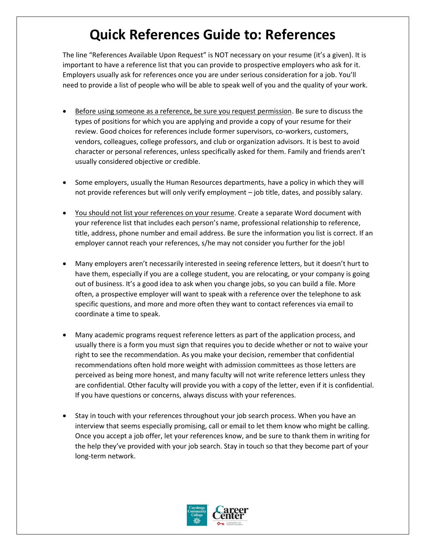# **Quick References Guide to: References**

The line "References Available Upon Request" is NOT necessary on your resume (it's a given). It is important to have a reference list that you can provide to prospective employers who ask for it. Employers usually ask for references once you are under serious consideration for a job. You'll need to provide a list of people who will be able to speak well of you and the quality of your work.

- **Before using someone as a reference, be sure you request permission**. Be sure to discuss the types of positions for which you are applying and provide a copy of your resume for their review. Good choices for references include former supervisors, co-workers, customers, vendors, colleagues, college professors, and club or organization advisors. It is best to avoid character or personal references, unless specifically asked for them. Family and friends aren't usually considered objective or credible.
- Some employers, usually the Human Resources departments, have a policy in which they will not provide references but will only verify employment – job title, dates, and possibly salary.
- You should not list your references on your resume. Create a separate Word document with your reference list that includes each person's name, professional relationship to reference, title, address, phone number and email address. Be sure the information you list is correct. If an employer cannot reach your references, s/he may not consider you further for the job!
- Many employers aren't necessarily interested in seeing reference letters, but it doesn't hurt to have them, especially if you are a college student, you are relocating, or your company is going out of business. It's a good idea to ask when you change jobs, so you can build a file. More often, a prospective employer will want to speak with a reference over the telephone to ask specific questions, and more and more often they want to contact references via email to coordinate a time to speak.
- Many academic programs request reference letters as part of the application process, and usually there is a form you must sign that requires you to decide whether or not to waive your right to see the recommendation. As you make your decision, remember that confidential recommendations often hold more weight with admission committees as those letters are perceived as being more honest, and many faculty will not write reference letters unless they are confidential. Other faculty will provide you with a copy of the letter, even if it is confidential. If you have questions or concerns, always discuss with your references.
- Stay in touch with your references throughout your job search process. When you have an interview that seems especially promising, call or email to let them know who might be calling. Once you accept a job offer, let your references know, and be sure to thank them in writing for the help they've provided with your job search. Stay in touch so that they become part of your long-term network.